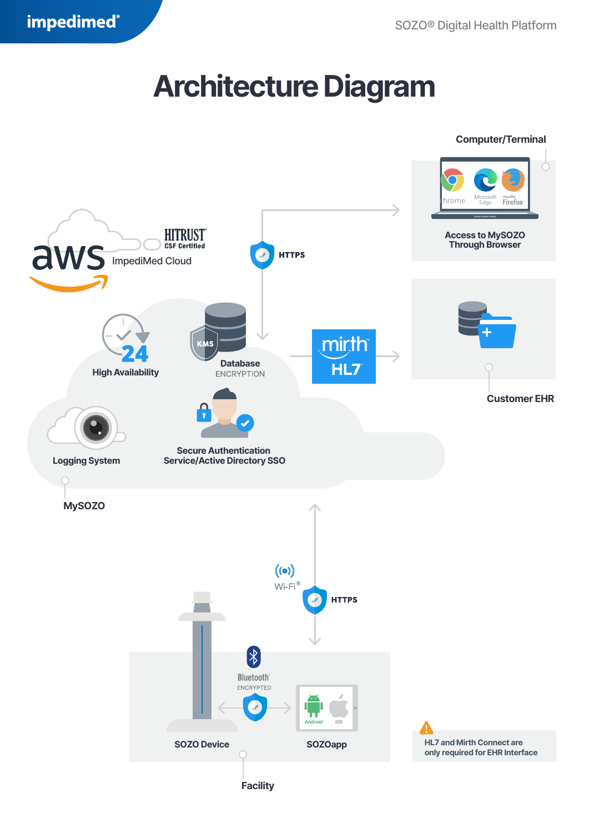## **Architecture Diagram**